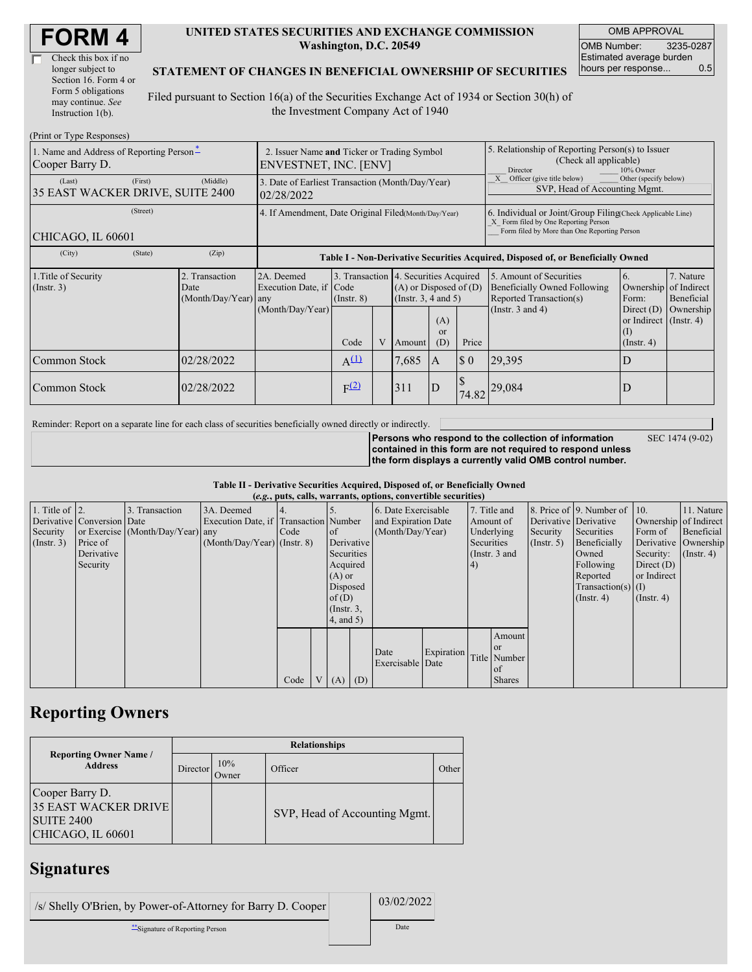| Check this box if no  |  |
|-----------------------|--|
| longer subject to     |  |
| Section 16. Form 4 or |  |
| Form 5 obligations    |  |
| may continue. See     |  |
| Instruction 1(b).     |  |

#### **UNITED STATES SECURITIES AND EXCHANGE COMMISSION Washington, D.C. 20549**

OMB APPROVAL OMB Number: 3235-0287 Estimated average burden hours per response... 0.5

#### **STATEMENT OF CHANGES IN BENEFICIAL OWNERSHIP OF SECURITIES**

Filed pursuant to Section 16(a) of the Securities Exchange Act of 1934 or Section 30(h) of the Investment Company Act of 1940

| (Print or Type Responses)                                   |                                                                      |                                                                                                                                                                                                            |                                                                |                  |   |                                                                                             |                                                                                                     |                                                                                        |                                                                                           |                                                                         |                         |  |
|-------------------------------------------------------------|----------------------------------------------------------------------|------------------------------------------------------------------------------------------------------------------------------------------------------------------------------------------------------------|----------------------------------------------------------------|------------------|---|---------------------------------------------------------------------------------------------|-----------------------------------------------------------------------------------------------------|----------------------------------------------------------------------------------------|-------------------------------------------------------------------------------------------|-------------------------------------------------------------------------|-------------------------|--|
| 1. Name and Address of Reporting Person-<br>Cooper Barry D. | 2. Issuer Name and Ticker or Trading Symbol<br>ENVESTNET, INC. [ENV] |                                                                                                                                                                                                            |                                                                |                  |   |                                                                                             | 5. Relationship of Reporting Person(s) to Issuer<br>(Check all applicable)<br>10% Owner<br>Director |                                                                                        |                                                                                           |                                                                         |                         |  |
| (Last)<br>35 EAST WACKER DRIVE, SUITE 2400                  | (First)                                                              | (Middle)                                                                                                                                                                                                   | 3. Date of Earliest Transaction (Month/Day/Year)<br>02/28/2022 |                  |   |                                                                                             |                                                                                                     | Other (specify below)<br>X Officer (give title below)<br>SVP, Head of Accounting Mgmt. |                                                                                           |                                                                         |                         |  |
| CHICAGO, IL 60601                                           |                                                                      | 4. If Amendment, Date Original Filed(Month/Day/Year)<br>6. Individual or Joint/Group Filing Check Applicable Line)<br>X Form filed by One Reporting Person<br>Form filed by More than One Reporting Person |                                                                |                  |   |                                                                                             |                                                                                                     |                                                                                        |                                                                                           |                                                                         |                         |  |
| (City)                                                      | (State)                                                              | (Zip)                                                                                                                                                                                                      |                                                                |                  |   |                                                                                             | Table I - Non-Derivative Securities Acquired, Disposed of, or Beneficially Owned                    |                                                                                        |                                                                                           |                                                                         |                         |  |
| 1. Title of Security<br>$($ Instr. 3 $)$                    |                                                                      | 2. Transaction<br>Date<br>(Month/Day/Year) any                                                                                                                                                             | 2A. Deemed<br>Execution Date, if Code                          | $($ Instr. $8)$  |   | 3. Transaction 4. Securities Acquired<br>$(A)$ or Disposed of $(D)$<br>(Insert. 3, 4 and 5) |                                                                                                     |                                                                                        | 5. Amount of Securities<br><b>Beneficially Owned Following</b><br>Reported Transaction(s) | 6.<br>Ownership of Indirect<br>Form:                                    | 7. Nature<br>Beneficial |  |
|                                                             |                                                                      |                                                                                                                                                                                                            | (Month/Day/Year)                                               | Code             | V | Amount                                                                                      | (A)<br><sub>or</sub><br>(D)                                                                         | Price                                                                                  | (Instr. $3$ and $4$ )                                                                     | Direct $(D)$<br>or Indirect $($ Instr. 4 $)$<br>(1)<br>$($ Instr. 4 $)$ | Ownership               |  |
| Common Stock                                                |                                                                      | 02/28/2022                                                                                                                                                                                                 |                                                                | $A^{(1)}$        |   | 7,685                                                                                       | $\mathbf{A}$                                                                                        | $\boldsymbol{\mathsf{S}}$ 0                                                            | 29,395                                                                                    | D                                                                       |                         |  |
| Common Stock                                                |                                                                      | 02/28/2022                                                                                                                                                                                                 |                                                                | F <sup>(2)</sup> |   | 311                                                                                         | D                                                                                                   | 74.82                                                                                  | 29,084                                                                                    | D                                                                       |                         |  |

Reminder: Report on a separate line for each class of securities beneficially owned directly or indirectly.

**Persons who respond to the collection of information contained in this form are not required to respond unless the form displays a currently valid OMB control number.** SEC 1474 (9-02)

|  |  |  | Table II - Derivative Securities Acquired, Disposed of, or Beneficially Owned |  |
|--|--|--|-------------------------------------------------------------------------------|--|
|  |  |  |                                                                               |  |

|                        | (e.g., puts, calls, warrants, options, convertible securities) |                                  |                                       |      |                |                 |                     |                     |            |            |               |                       |                              |                  |                      |
|------------------------|----------------------------------------------------------------|----------------------------------|---------------------------------------|------|----------------|-----------------|---------------------|---------------------|------------|------------|---------------|-----------------------|------------------------------|------------------|----------------------|
| 1. Title of $\vert$ 2. |                                                                | 3. Transaction                   | 3A. Deemed                            |      |                |                 |                     | 6. Date Exercisable |            |            | 7. Title and  |                       | 8. Price of 9. Number of 10. |                  | 11. Nature           |
|                        | Derivative Conversion Date                                     |                                  | Execution Date, if Transaction Number |      |                |                 | and Expiration Date |                     | Amount of  |            |               | Derivative Derivative | Ownership of Indirect        |                  |                      |
| Security               |                                                                | or Exercise (Month/Day/Year) any |                                       | Code |                | <sub>of</sub>   | (Month/Day/Year)    |                     |            | Underlying | Security      | Securities            | Form of                      | Beneficial       |                      |
| (Insert. 3)            | Price of                                                       |                                  | $(Month/Day/Year)$ (Instr. 8)         |      |                | Derivative      |                     |                     |            | Securities |               | $($ Instr. 5 $)$      | Beneficially                 |                  | Derivative Ownership |
|                        | Derivative                                                     |                                  |                                       |      |                | Securities      |                     |                     |            |            | (Instr. 3 and |                       | Owned                        | Security:        | $($ Instr. 4 $)$     |
|                        | Security                                                       |                                  |                                       |      |                | Acquired        |                     |                     |            | 4)         |               |                       | Following                    | Direct $(D)$     |                      |
|                        |                                                                |                                  |                                       |      |                | $(A)$ or        |                     |                     |            |            |               |                       | Reported                     | or Indirect      |                      |
|                        |                                                                |                                  |                                       |      |                | Disposed        |                     |                     |            |            |               |                       | Transaction(s) $(I)$         |                  |                      |
|                        |                                                                |                                  |                                       |      |                | of(D)           |                     |                     |            |            |               |                       | $($ Instr. 4 $)$             | $($ Instr. 4 $)$ |                      |
|                        |                                                                |                                  |                                       |      |                | $($ Instr. $3,$ |                     |                     |            |            |               |                       |                              |                  |                      |
|                        |                                                                |                                  |                                       |      |                | $4$ , and $5$ ) |                     |                     |            |            |               |                       |                              |                  |                      |
|                        |                                                                |                                  |                                       |      |                |                 |                     |                     |            |            | Amount        |                       |                              |                  |                      |
|                        |                                                                |                                  |                                       |      |                |                 |                     | Date                |            |            | <sub>or</sub> |                       |                              |                  |                      |
|                        |                                                                |                                  |                                       |      |                |                 |                     | Exercisable Date    | Expiration |            | Title Number  |                       |                              |                  |                      |
|                        |                                                                |                                  |                                       |      |                |                 |                     |                     |            |            | of            |                       |                              |                  |                      |
|                        |                                                                |                                  |                                       | Code | V <sub>1</sub> | $(A)$ $(D)$     |                     |                     |            |            | <b>Shares</b> |                       |                              |                  |                      |

## **Reporting Owners**

|                                                                                          | <b>Relationships</b> |                     |                               |       |  |  |  |  |  |  |
|------------------------------------------------------------------------------------------|----------------------|---------------------|-------------------------------|-------|--|--|--|--|--|--|
| <b>Reporting Owner Name /</b><br><b>Address</b>                                          | Director             | 10%<br><b>Dwner</b> | Officer                       | Other |  |  |  |  |  |  |
| Cooper Barry D.<br><b>35 EAST WACKER DRIVE</b><br><b>SUITE 2400</b><br>CHICAGO, IL 60601 |                      |                     | SVP, Head of Accounting Mgmt. |       |  |  |  |  |  |  |

### **Signatures**

/s/ Shelly O'Brien, by Power-of-Attorney for Barry D. Cooper 03/02/2022 \*\*Signature of Reporting Person Date